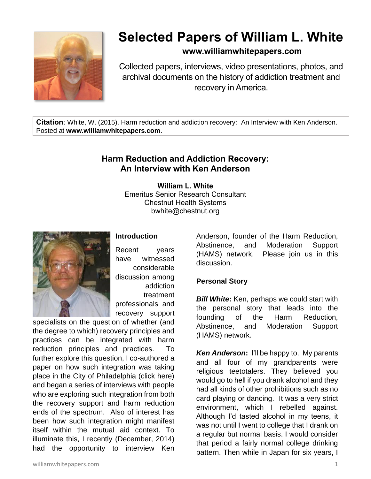

# **Selected Papers of William L. White**

## **www.williamwhitepapers.com**

Collected papers, interviews, video presentations, photos, and archival documents on the history of addiction treatment and recovery in America.

**Citation**: White, W. (2015). Harm reduction and addiction recovery: An Interview with Ken Anderson. Posted at **www.williamwhitepapers.com**.

## **Harm Reduction and Addiction Recovery: An Interview with Ken Anderson**

**William L. White** Emeritus Senior Research Consultant Chestnut Health Systems bwhite@chestnut.org



#### **Introduction**

Recent years have witnessed considerable discussion among addiction treatment professionals and recovery support

specialists on the question of whether (and the degree to which) recovery principles and practices can be integrated with harm reduction principles and practices. To further explore this question, I co-authored a paper on how such integration was taking place in the City of Philadelphia (click here) and began a series of interviews with people who are exploring such integration from both the recovery support and harm reduction ends of the spectrum. Also of interest has been how such integration might manifest itself within the mutual aid context. To illuminate this, I recently (December, 2014) had the opportunity to interview Ken

Anderson, founder of the Harm Reduction, Abstinence, and Moderation Support (HAMS) network. Please join us in this discussion.

#### **Personal Story**

*Bill White***:** Ken, perhaps we could start with the personal story that leads into the founding of the Harm Reduction, Abstinence, and Moderation Support (HAMS) network.

*Ken Anderson***:** I'll be happy to. My parents and all four of my grandparents were religious teetotalers. They believed you would go to hell if you drank alcohol and they had all kinds of other prohibitions such as no card playing or dancing. It was a very strict environment, which I rebelled against. Although I'd tasted alcohol in my teens, it was not until I went to college that I drank on a regular but normal basis. I would consider that period a fairly normal college drinking pattern. Then while in Japan for six years, I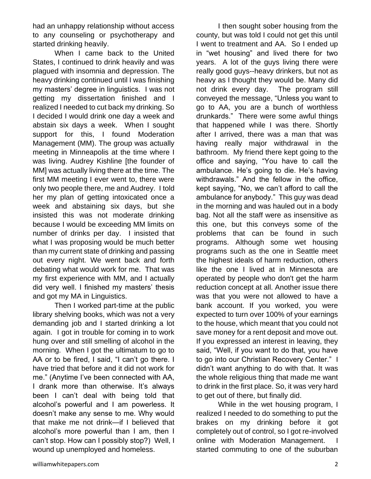had an unhappy relationship without access to any counseling or psychotherapy and started drinking heavily.

When I came back to the United States, I continued to drink heavily and was plagued with insomnia and depression. The heavy drinking continued until I was finishing my masters' degree in linguistics. I was not getting my dissertation finished and I realized I needed to cut back my drinking. So I decided I would drink one day a week and abstain six days a week. When I sought support for this, I found Moderation Management (MM). The group was actually meeting in Minneapolis at the time where I was living. Audrey Kishline [the founder of MM] was actually living there at the time. The first MM meeting I ever went to, there were only two people there, me and Audrey. I told her my plan of getting intoxicated once a week and abstaining six days, but she insisted this was not moderate drinking because I would be exceeding MM limits on number of drinks per day. I insisted that what I was proposing would be much better than my current state of drinking and passing out every night. We went back and forth debating what would work for me. That was my first experience with MM, and I actually did very well. I finished my masters' thesis and got my MA in Linguistics.

Then I worked part-time at the public library shelving books, which was not a very demanding job and I started drinking a lot again. I got in trouble for coming in to work hung over and still smelling of alcohol in the morning. When I got the ultimatum to go to AA or to be fired, I said, "I can't go there. I have tried that before and it did not work for me." (Anytime I've been connected with AA, I drank more than otherwise. It's always been I can't deal with being told that alcohol's powerful and I am powerless. It doesn't make any sense to me. Why would that make me not drink—if I believed that alcohol's more powerful than I am, then I can't stop. How can I possibly stop?) Well, I wound up unemployed and homeless.

I then sought sober housing from the county, but was told I could not get this until I went to treatment and AA. So I ended up in "wet housing" and lived there for two years. A lot of the guys living there were really good guys--heavy drinkers, but not as heavy as I thought they would be. Many did not drink every day. The program still conveyed the message, "Unless you want to go to AA, you are a bunch of worthless drunkards." There were some awful things that happened while I was there. Shortly after I arrived, there was a man that was having really major withdrawal in the bathroom. My friend there kept going to the office and saying, "You have to call the ambulance. He's going to die. He's having withdrawals." And the fellow in the office, kept saying, "No, we can't afford to call the ambulance for anybody." This guy was dead in the morning and was hauled out in a body bag. Not all the staff were as insensitive as this one, but this conveys some of the problems that can be found in such programs. Although some wet housing programs such as the one in Seattle meet the highest ideals of harm reduction, others like the one I lived at in Minnesota are operated by people who don't get the harm reduction concept at all. Another issue there was that you were not allowed to have a bank account. If you worked, you were expected to turn over 100% of your earnings to the house, which meant that you could not save money for a rent deposit and move out. If you expressed an interest in leaving, they said, "Well, if you want to do that, you have to go into our Christian Recovery Center." I didn't want anything to do with that. It was the whole religious thing that made me want to drink in the first place. So, it was very hard to get out of there, but finally did.

While in the wet housing program, I realized I needed to do something to put the brakes on my drinking before it got completely out of control, so I got re-involved online with Moderation Management. started commuting to one of the suburban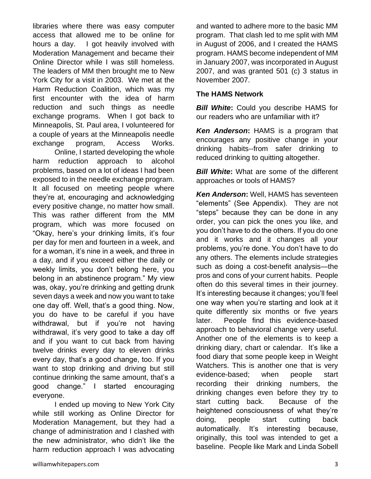libraries where there was easy computer access that allowed me to be online for hours a day. I got heavily involved with Moderation Management and became their Online Director while I was still homeless. The leaders of MM then brought me to New York City for a visit in 2003. We met at the Harm Reduction Coalition, which was my first encounter with the idea of harm reduction and such things as needle exchange programs. When I got back to Minneapolis, St. Paul area, I volunteered for a couple of years at the Minneapolis needle exchange program, Access Works.

Online, I started developing the whole harm reduction approach to alcohol problems, based on a lot of ideas I had been exposed to in the needle exchange program. It all focused on meeting people where they're at, encouraging and acknowledging every positive change, no matter how small. This was rather different from the MM program, which was more focused on "Okay, here's your drinking limits, it's four per day for men and fourteen in a week, and for a woman, it's nine in a week, and three in a day, and if you exceed either the daily or weekly limits, you don't belong here, you belong in an abstinence program." My view was, okay, you're drinking and getting drunk seven days a week and now you want to take one day off. Well, that's a good thing. Now, you do have to be careful if you have withdrawal, but if you're not having withdrawal, it's very good to take a day off and if you want to cut back from having twelve drinks every day to eleven drinks every day, that's a good change, too. If you want to stop drinking and driving but still continue drinking the same amount, that's a good change." I started encouraging everyone.

I ended up moving to New York City while still working as Online Director for Moderation Management, but they had a change of administration and I clashed with the new administrator, who didn't like the harm reduction approach I was advocating

and wanted to adhere more to the basic MM program. That clash led to me split with MM in August of 2006, and I created the HAMS program. HAMS become independent of MM in January 2007, was incorporated in August 2007, and was granted 501 (c) 3 status in November 2007.

#### **The HAMS Network**

**Bill White:** Could you describe HAMS for our readers who are unfamiliar with it?

*Ken Anderson***:** HAMS is a program that encourages any positive change in your drinking habits--from safer drinking to reduced drinking to quitting altogether.

*Bill White***:** What are some of the different approaches or tools of HAMS?

*Ken Anderson***:** Well, HAMS has seventeen "elements" (See Appendix). They are not "steps" because they can be done in any order, you can pick the ones you like, and you don't have to do the others. If you do one and it works and it changes all your problems, you're done. You don't have to do any others. The elements include strategies such as doing a cost-benefit analysis—the pros and cons of your current habits. People often do this several times in their journey. It's interesting because it changes; you'll feel one way when you're starting and look at it quite differently six months or five years later. People find this evidence-based approach to behavioral change very useful. Another one of the elements is to keep a drinking diary, chart or calendar. It's like a food diary that some people keep in Weight Watchers. This is another one that is very evidence-based; when people start recording their drinking numbers, the drinking changes even before they try to start cutting back. Because of the heightened consciousness of what they're doing, people start cutting back automatically. It's interesting because, originally, this tool was intended to get a baseline. People like Mark and Linda Sobell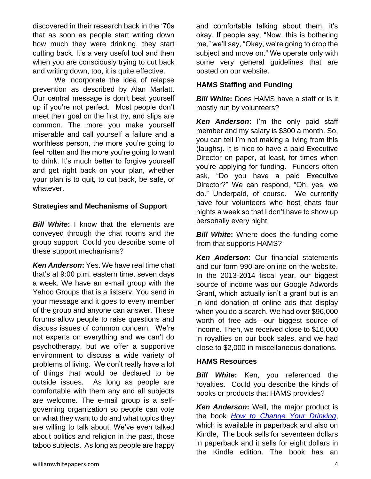discovered in their research back in the '70s that as soon as people start writing down how much they were drinking, they start cutting back. It's a very useful tool and then when you are consciously trying to cut back and writing down, too, it is quite effective.

We incorporate the idea of relapse prevention as described by Alan Marlatt. Our central message is don't beat yourself up if you're not perfect. Most people don't meet their goal on the first try, and slips are common. The more you make yourself miserable and call yourself a failure and a worthless person, the more you're going to feel rotten and the more you're going to want to drink. It's much better to forgive yourself and get right back on your plan, whether your plan is to quit, to cut back, be safe, or whatever.

#### **Strategies and Mechanisms of Support**

**Bill White:** I know that the elements are conveyed through the chat rooms and the group support. Could you describe some of these support mechanisms?

*Ken Anderson***:** Yes. We have real time chat that's at 9:00 p.m. eastern time, seven days a week. We have an e-mail group with the Yahoo Groups that is a listserv. You send in your message and it goes to every member of the group and anyone can answer. These forums allow people to raise questions and discuss issues of common concern. We're not experts on everything and we can't do psychotherapy, but we offer a supportive environment to discuss a wide variety of problems of living. We don't really have a lot of things that would be declared to be outside issues. As long as people are comfortable with them any and all subjects are welcome. The e-mail group is a selfgoverning organization so people can vote on what they want to do and what topics they are willing to talk about. We've even talked about politics and religion in the past, those taboo subjects. As long as people are happy

and comfortable talking about them, it's okay. If people say, "Now, this is bothering me," we'll say, "Okay, we're going to drop the subject and move on." We operate only with some very general guidelines that are posted on our website.

#### **HAMS Staffing and Funding**

*Bill White***:** Does HAMS have a staff or is it mostly run by volunteers?

*Ken Anderson***:** I'm the only paid staff member and my salary is \$300 a month. So, you can tell I'm not making a living from this (laughs). It is nice to have a paid Executive Director on paper, at least, for times when you're applying for funding. Funders often ask, "Do you have a paid Executive Director?" We can respond, "Oh, yes, we do." Underpaid, of course. We currently have four volunteers who host chats four nights a week so that I don't have to show up personally every night.

*Bill White:* Where does the funding come from that supports HAMS?

*Ken Anderson***:** Our financial statements and our form 990 are online on the website. In the 2013-2014 fiscal year, our biggest source of income was our Google Adwords Grant, which actually isn't a grant but is an in-kind donation of online ads that display when you do a search. We had over \$96,000 worth of free ads—our biggest source of income. Then, we received close to \$16,000 in royalties on our book sales, and we had close to \$2,000 in miscellaneous donations.

#### **HAMS Resources**

**Bill White:** Ken, you referenced the royalties. Could you describe the kinds of books or products that HAMS provides?

*Ken Anderson***:** Well, the major product is the book *[How to Change Your Drinking](http://www.amazon.com/gp/product/145383060X/ref=as_li_ss_tl?ie=UTF8&camp=211189&creative=373489&creativeASIN=145383060X&link_code=as3&tag=thhaharene-20)*, which is available in paperback and also on Kindle, The book sells for seventeen dollars in paperback and it sells for eight dollars in the Kindle edition. The book has an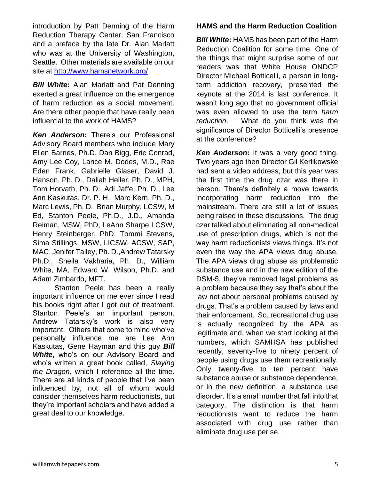introduction by Patt Denning of the Harm Reduction Therapy Center, San Francisco and a preface by the late Dr. Alan Marlatt who was at the University of Washington, Seattle. Other materials are available on our site at<http://www.hamsnetwork.org/>

*Bill White***:** Alan Marlatt and Pat Denning exerted a great influence on the emergence of harm reduction as a social movement. Are there other people that have really been influential to the work of HAMS?

*Ken Anderson***:** There's our Professional Advisory Board members who include Mary Ellen Barnes, Ph.D, Dan Bigg, Eric Conrad, Amy Lee Coy, Lance M. Dodes, M.D., Rae Eden Frank, Gabrielle Glaser, David J. Hanson, Ph. D., Daliah Heller, Ph. D., MPH, Tom Horvath, Ph. D., Adi Jaffe, Ph. D., Lee Ann Kaskutas, Dr. P. H., Marc Kern, Ph. D., Marc Lewis, Ph. D., Brian Murphy, LCSW, M Ed, Stanton Peele, Ph.D., J.D., Amanda Reiman, MSW, PhD, LeAnn Sharpe LCSW, Henry Steinberger, PhD, Tommi Stevens, Sima Stillings, MSW, LICSW, ACSW, SAP, MAC, Jenifer Talley, Ph. D.,Andrew Tatarsky Ph.D., Sheila Vakharia, Ph. D., William White, MA, Edward W. Wilson, Ph.D, and Adam Zimbardo, MFT.

Stanton Peele has been a really important influence on me ever since I read his books right after I got out of treatment. Stanton Peele's an important person. Andrew Tatarsky's work is also very important. Others that come to mind who've personally influence me are Lee Ann Kaskutas, Gene Hayman and this guy *Bill White*, who's on our Advisory Board and who's written a great book called, *Slaying the Dragon*, which I reference all the time. There are all kinds of people that I've been influenced by, not all of whom would consider themselves harm reductionists, but they're important scholars and have added a great deal to our knowledge.

#### **HAMS and the Harm Reduction Coalition**

*Bill White***:** HAMS has been part of the Harm Reduction Coalition for some time. One of the things that might surprise some of our readers was that White House ONDCP Director Michael Botticelli, a person in longterm addiction recovery, presented the keynote at the 2014 is last conference. It wasn't long ago that no government official was even allowed to use the term *harm reduction*. What do you think was the significance of Director Botticelli's presence at the conference?

*Ken Anderson***:** It was a very good thing. Two years ago then Director Gil Kerlikowske had sent a video address, but this year was the first time the drug czar was there in person. There's definitely a move towards incorporating harm reduction into the mainstream. There are still a lot of issues being raised in these discussions. The drug czar talked about eliminating all non-medical use of prescription drugs, which is not the way harm reductionists views things. It's not even the way the APA views drug abuse. The APA views drug abuse as problematic substance use and in the new edition of the DSM-5, they've removed legal problems as a problem because they say that's about the law not about personal problems caused by drugs. That's a problem caused by laws and their enforcement. So, recreational drug use is actually recognized by the APA as legitimate and, when we start looking at the numbers, which SAMHSA has published recently, seventy-five to ninety percent of people using drugs use them recreationally. Only twenty-five to ten percent have substance abuse or substance dependence, or in the new definition, a substance use disorder. It's a small number that fall into that category. The distinction is that harm reductionists want to reduce the harm associated with drug use rather than eliminate drug use per se.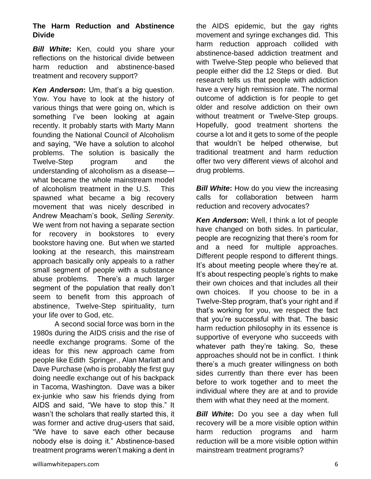#### **The Harm Reduction and Abstinence Divide**

**Bill White:** Ken, could you share your reflections on the historical divide between harm reduction and abstinence-based treatment and recovery support?

*Ken Anderson***:** Um, that's a big question. Yow. You have to look at the history of various things that were going on, which is something I've been looking at again recently. It probably starts with Marty Mann founding the National Council of Alcoholism and saying, "We have a solution to alcohol problems. The solution is basically the Twelve-Step program and the understanding of alcoholism as a disease what became the whole mainstream model of alcoholism treatment in the U.S. This spawned what became a big recovery movement that was nicely described in Andrew Meacham's book, *Selling Serenity.*  We went from not having a separate section for recovery in bookstores to every bookstore having one. But when we started looking at the research, this mainstream approach basically only appeals to a rather small segment of people with a substance abuse problems. There's a much larger segment of the population that really don't seem to benefit from this approach of abstinence, Twelve-Step spirituality, turn your life over to God, etc.

A second social force was born in the 1980s during the AIDS crisis and the rise of needle exchange programs. Some of the ideas for this new approach came from people like Edith Springer., Alan Marlatt and Dave Purchase (who is probably the first guy doing needle exchange out of his backpack in Tacoma, Washington. Dave was a biker ex-junkie who saw his friends dying from AIDS and said, "We have to stop this." It wasn't the scholars that really started this, it was former and active drug-users that said, "We have to save each other because nobody else is doing it." Abstinence-based treatment programs weren't making a dent in

the AIDS epidemic, but the gay rights movement and syringe exchanges did. This harm reduction approach collided with abstinence-based addiction treatment and with Twelve-Step people who believed that people either did the 12 Steps or died. But research tells us that people with addiction have a very high remission rate. The normal outcome of addiction is for people to get older and resolve addiction on their own without treatment or Twelve-Step groups. Hopefully, good treatment shortens the course a lot and it gets to some of the people that wouldn't be helped otherwise, but traditional treatment and harm reduction offer two very different views of alcohol and drug problems.

*Bill White:* How do you view the increasing calls for collaboration between harm reduction and recovery advocates?

*Ken Anderson***:** Well, I think a lot of people have changed on both sides. In particular, people are recognizing that there's room for and a need for multiple approaches. Different people respond to different things. It's about meeting people where they're at. It's about respecting people's rights to make their own choices and that includes all their own choices. If you choose to be in a Twelve-Step program, that's your right and if that's working for you, we respect the fact that you're successful with that. The basic harm reduction philosophy in its essence is supportive of everyone who succeeds with whatever path they're taking. So, these approaches should not be in conflict. I think there's a much greater willingness on both sides currently than there ever has been before to work together and to meet the individual where they are at and to provide them with what they need at the moment.

*Bill White***:** Do you see a day when full recovery will be a more visible option within harm reduction programs and harm reduction will be a more visible option within mainstream treatment programs?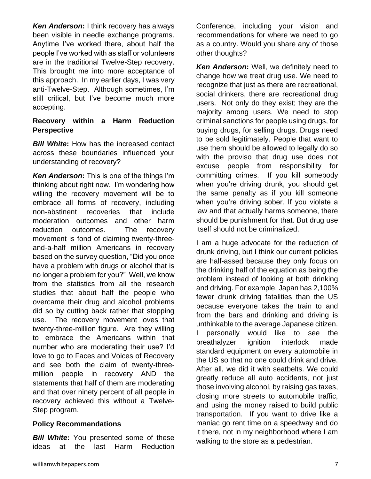*Ken Anderson***:** I think recovery has always been visible in needle exchange programs. Anytime I've worked there, about half the people I've worked with as staff or volunteers are in the traditional Twelve-Step recovery. This brought me into more acceptance of this approach. In my earlier days, I was very anti-Twelve-Step. Although sometimes, I'm still critical, but I've become much more accepting.

#### **Recovery within a Harm Reduction Perspective**

*Bill White***:** How has the increased contact across these boundaries influenced your understanding of recovery?

*Ken Anderson***:** This is one of the things I'm thinking about right now. I'm wondering how willing the recovery movement will be to embrace all forms of recovery, including non-abstinent recoveries that include moderation outcomes and other harm reduction outcomes. The recovery movement is fond of claiming twenty-threeand-a-half million Americans in recovery based on the survey question, "Did you once have a problem with drugs or alcohol that is no longer a problem for you?" Well, we know from the statistics from all the research studies that about half the people who overcame their drug and alcohol problems did so by cutting back rather that stopping use. The recovery movement loves that twenty-three-million figure. Are they willing to embrace the Americans within that number who are moderating their use? I'd love to go to Faces and Voices of Recovery and see both the claim of twenty-threemillion people in recovery AND the statements that half of them are moderating and that over ninety percent of all people in recovery achieved this without a Twelve-Step program.

#### **Policy Recommendations**

*Bill White:* You presented some of these ideas at the last Harm Reduction *Ken Anderson***:** Well, we definitely need to change how we treat drug use. We need to recognize that just as there are recreational, social drinkers, there are recreational drug users. Not only do they exist; they are the majority among users. We need to stop criminal sanctions for people using drugs, for buying drugs, for selling drugs. Drugs need to be sold legitimately. People that want to use them should be allowed to legally do so with the proviso that drug use does not excuse people from responsibility for committing crimes. If you kill somebody when you're driving drunk, you should get the same penalty as if you kill someone when you're driving sober. If you violate a law and that actually harms someone, there should be punishment for that. But drug use itself should not be criminalized.

I am a huge advocate for the reduction of drunk driving, but I think our current policies are half-assed because they only focus on the drinking half of the equation as being the problem instead of looking at both drinking and driving. For example, Japan has 2,100% fewer drunk driving fatalities than the US because everyone takes the train to and from the bars and drinking and driving is unthinkable to the average Japanese citizen. I personally would like to see the breathalyzer ignition interlock made standard equipment on every automobile in the US so that no one could drink and drive. After all, we did it with seatbelts. We could greatly reduce all auto accidents, not just those involving alcohol, by raising gas taxes, closing more streets to automobile traffic, and using the money raised to build public transportation. If you want to drive like a maniac go rent time on a speedway and do it there, not in my neighborhood where I am walking to the store as a pedestrian.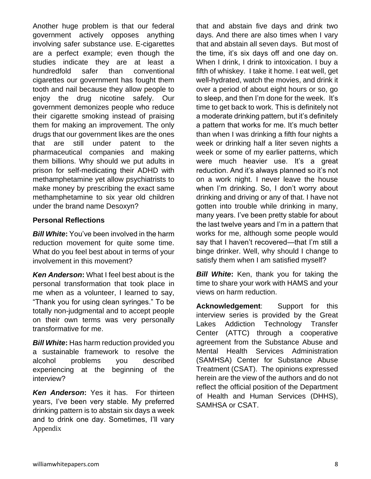Another huge problem is that our federal government actively opposes anything involving safer substance use. E-cigarettes are a perfect example; even though the studies indicate they are at least a hundredfold safer than conventional cigarettes our government has fought them tooth and nail because they allow people to enjoy the drug nicotine safely. Our government demonizes people who reduce their cigarette smoking instead of praising them for making an improvement. The only drugs that our government likes are the ones that are still under patent to the pharmaceutical companies and making them billions. Why should we put adults in prison for self-medicating their ADHD with methamphetamine yet allow psychiatrists to make money by prescribing the exact same methamphetamine to six year old children under the brand name Desoxyn?

#### **Personal Reflections**

*Bill White***:** You've been involved in the harm reduction movement for quite some time. What do you feel best about in terms of your involvement in this movement?

*Ken Anderson***:** What I feel best about is the personal transformation that took place in me when as a volunteer, I learned to say, "Thank you for using clean syringes." To be totally non-judgmental and to accept people on their own terms was very personally transformative for me.

*Bill White***:** Has harm reduction provided you a sustainable framework to resolve the alcohol problems you described experiencing at the beginning of the interview?

*Ken Anderson***:** Yes it has. For thirteen years, I've been very stable. My preferred drinking pattern is to abstain six days a week and to drink one day. Sometimes, I'll vary Appendix

that and abstain five days and drink two days. And there are also times when I vary that and abstain all seven days. But most of the time, it's six days off and one day on. When I drink, I drink to intoxication. I buy a fifth of whiskey. I take it home. I eat well, get well-hydrated, watch the movies, and drink it over a period of about eight hours or so, go to sleep, and then I'm done for the week. It's time to get back to work. This is definitely not a moderate drinking pattern, but it's definitely a pattern that works for me. It's much better than when I was drinking a fifth four nights a week or drinking half a liter seven nights a week or some of my earlier patterns, which were much heavier use. It's a great reduction. And it's always planned so it's not on a work night. I never leave the house when I'm drinking. So, I don't worry about drinking and driving or any of that. I have not gotten into trouble while drinking in many, many years. I've been pretty stable for about the last twelve years and I'm in a pattern that works for me, although some people would say that I haven't recovered—that I'm still a binge drinker. Well, why should I change to satisfy them when I am satisfied myself?

**Bill White:** Ken, thank you for taking the time to share your work with HAMS and your views on harm reduction.

**Acknowledgement**: Support for this interview series is provided by the Great Lakes Addiction Technology Transfer Center (ATTC) through a cooperative agreement from the Substance Abuse and Mental Health Services Administration (SAMHSA) Center for Substance Abuse Treatment (CSAT). The opinions expressed herein are the view of the authors and do not reflect the official position of the Department of Health and Human Services (DHHS), SAMHSA or CSAT.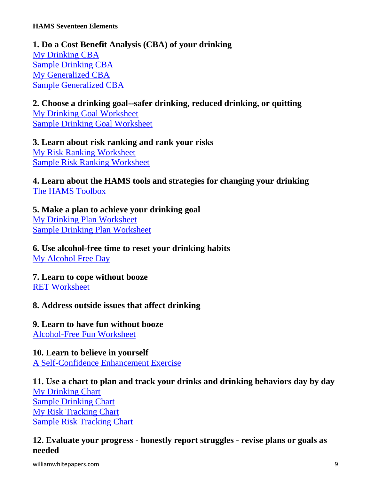## **1. Do a Cost Benefit Analysis (CBA) of your drinking** [My Drinking CBA](http://www.hamsnetwork.org/mydrinkingcba.pdf) [Sample Drinking CBA](http://www.hamsnetwork.org/sampledrinkingcba.pdf) [My Generalized CBA](http://www.hamsnetwork.org/mygeneralizedcba.pdf) [Sample Generalized CBA](http://www.hamsnetwork.org/samplegeneralizedcba.pdf)

**2. Choose a drinking goal--safer drinking, reduced drinking, or quitting** [My Drinking Goal Worksheet](http://www.hamsnetwork.org/drinkinggoal.pdf) [Sample Drinking Goal Worksheet](http://www.hamsnetwork.org/sampledrinkinggoal.pdf)

**3. Learn about risk ranking and rank your risks** [My Risk Ranking Worksheet](http://www.hamsnetwork.org/risk.pdf) [Sample Risk Ranking Worksheet](http://www.hamsnetwork.org/risksample.pdf)

**4. Learn about the HAMS tools and strategies for changing your drinking** [The HAMS Toolbox](http://www.hamsnetwork.org/toolbox)

## **5. Make a plan to achieve your drinking goal**

[My Drinking Plan Worksheet](http://www.hamsnetwork.org/planworksheet.pdf) [Sample Drinking Plan Worksheet](http://www.hamsnetwork.org/sampleplanworksheet.pdf)

**6. Use alcohol-free time to reset your drinking habits** [My Alcohol Free Day](http://www.hamsnetwork.org/myabs)

**7. Learn to cope without booze** [RET Worksheet](http://www.hamsnetwork.org/retworksheet.pdf)

## **8. Address outside issues that affect drinking**

## **9. Learn to have fun without booze**

[Alcohol-Free Fun Worksheet](http://www.hamsnetwork.org/alcoholfreefun.pdf)

## **10. Learn to believe in yourself**

[A Self-Confidence Enhancement Exercise](http://www.hamsnetwork.org/selfconfidence.pdf)

## **11. Use a chart to plan and track your drinks and drinking behaviors day by day** [My Drinking Chart](http://www.hamsnetwork.org/mychart.pdf) [Sample Drinking Chart](http://www.hamsnetwork.org/samplechart.pdf)

[My Risk Tracking Chart](http://www.hamsnetwork.org/myrisk.pdf) [Sample Risk Tracking Chart](http://www.hamsnetwork.org/samplerisk.pdf)

## **12. Evaluate your progress - honestly report struggles - revise plans or goals as needed**

williamwhitepapers.com 3.9 and 2.0 million which williamwhitepapers.com 3.9 and 3.9 and 3.9 and 3.9 and 3.9 and 3.9 and 3.9 and 3.9 and 3.9 and 3.9 and 3.9 and 3.9 and 3.9 and 3.9 and 3.9 and 3.9 and 3.9 and 3.9 and 3.9 an